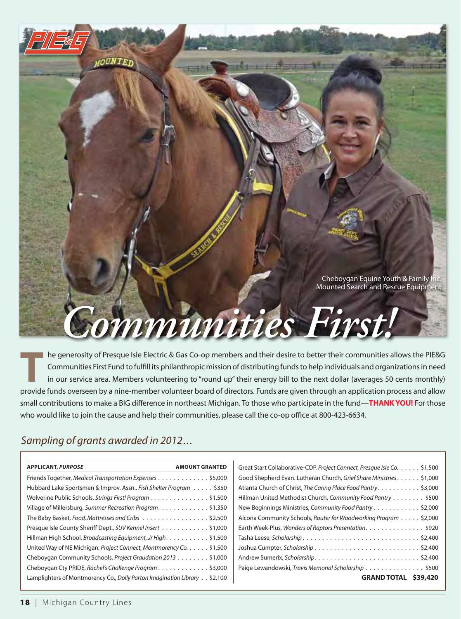

**the generosity of Presque Isle Electric & Gas Co-op members and their desire to better their communities allows the PIE&G<br>
Communities First Fund to fulfill its philanthropic mission of distributing funds to help individu** Communities First Fund to fulfll its philanthropic mission of distributing funds to help individuals and organizations in need in our service area. Members volunteering to "round up" their energy bill to the next dollar (averages 50 cents monthly) provide funds overseen by a nine-member volunteer board of directors. Funds are given through an application process and allow small contributions to make a BIG diference in northeast Michigan. To those who participate in the fund—**tHANK YoU!** For those who would like to join the cause and help their communities, please call the co-op office at 800-423-6634.

## *Sampling of grants awarded in 2012...*

| <b>APPLICANT, PURPOSE</b><br><b>AMOUNT GRANTED</b>                        | Great Start Collaborative-COP, Project Connect, Presque Isle Co. \$1,500 |  |
|---------------------------------------------------------------------------|--------------------------------------------------------------------------|--|
| Friends Together, Medical Transportation Expenses \$5,000                 | Good Shepherd Evan. Lutheran Church, Grief Share Ministries. \$1,000     |  |
| Hubbard Lake Sportsmen & Improv. Assn., Fish Shelter Program \$350        | Atlanta Church of Christ, The Caring Place Food Pantry. \$3,000          |  |
| Wolverine Public Schools, Strings First! Program \$1,500                  | Hillman United Methodist Church, Community Food Pantry \$500             |  |
| Village of Millersburg, Summer Recreation Program. \$1,350                | New Beginnings Ministries, Community Food Pantry \$2,000                 |  |
| The Baby Basket, Food, Mattresses and Cribs \$2,500                       | Alcona Community Schools, Router for Woodworking Program \$2,000         |  |
| Presque Isle County Sheriff Dept., SUV Kennel Insert \$1,000              | Earth Week-Plus, Wonders of Raptors Presentation. \$920                  |  |
| Hillman High School, Broadcasting Equipment, Jr High. \$1,500             |                                                                          |  |
| United Way of NE Michigan, Project Connect, Montmorency Co. \$1,500       |                                                                          |  |
| Cheboygan Community Schools, Project Graudation 2013 \$1,000              |                                                                          |  |
| Cheboygan Cty PRIDE, Rachel's Challenge Program \$3,000                   | Paige Lewandowski, Travis Memorial Scholarship \$500                     |  |
| Lamplighters of Montmorency Co., Dolly Parton Imagination Library \$2,100 | \$39,420<br><b>GRAND TOTAL</b>                                           |  |